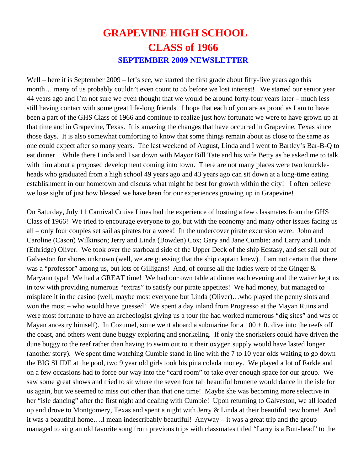## **GRAPEVINE HIGH SCHOOL CLASS of 1966 SEPTEMBER 2009 NEWSLETTER**

Well – here it is September 2009 – let's see, we started the first grade about fifty-five years ago this month….many of us probably couldn't even count to 55 before we lost interest! We started our senior year 44 years ago and I'm not sure we even thought that we would be around forty-four years later – much less still having contact with some great life-long friends. I hope that each of you are as proud as I am to have been a part of the GHS Class of 1966 and continue to realize just how fortunate we were to have grown up at that time and in Grapevine, Texas. It is amazing the changes that have occurred in Grapevine, Texas since those days. It is also somewhat comforting to know that some things remain about as close to the same as one could expect after so many years. The last weekend of August, Linda and I went to Bartley's Bar-B-Q to eat dinner. While there Linda and I sat down with Mayor Bill Tate and his wife Betty as he asked me to talk with him about a proposed development coming into town. There are not many places were two knuckleheads who graduated from a high school 49 years ago and 43 years ago can sit down at a long-time eating establishment in our hometown and discuss what might be best for growth within the city! I often believe we lose sight of just how blessed we have been for our experiences growing up in Grapevine!

On Saturday, July 11 Carnival Cruise Lines had the experience of hosting a few classmates from the GHS Class of 1966! We tried to encourage everyone to go, but with the economy and many other issues facing us all – only four couples set sail as pirates for a week! In the undercover pirate excursion were: John and Caroline (Cason) Wilkinson; Jerry and Linda (Bowden) Cox; Gary and Jane Cumbie; and Larry and Linda (Ethridge) Oliver. We took over the starboard side of the Upper Deck of the ship Ecstasy, and set sail out of Galveston for shores unknown (well, we are guessing that the ship captain knew). I am not certain that there was a "professor" among us, but lots of Gilligans! And, of course all the ladies were of the Ginger & Maryann type! We had a GREAT time! We had our own table at dinner each evening and the waiter kept us in tow with providing numerous "extras" to satisfy our pirate appetites! We had money, but managed to misplace it in the casino (well, maybe most everyone but Linda (Oliver)…who played the penny slots and won the most – who would have guessed! We spent a day inland from Progresso at the Mayan Ruins and were most fortunate to have an archeologist giving us a tour (he had worked numerous "dig sites" and was of Mayan ancestry himself). In Cozumel, some went aboard a submarine for a  $100 + ft$ . dive into the reefs off the coast, and others went dune buggy exploring and snorkeling. If only the snorkelers could have driven the dune buggy to the reef rather than having to swim out to it their oxygen supply would have lasted longer (another story). We spent time watching Cumbie stand in line with the 7 to 10 year olds waiting to go down the BIG SLIDE at the pool, two 9 year old girls took his pina colada money. We played a lot of Farkle and on a few occasions had to force our way into the "card room" to take over enough space for our group. We saw some great shows and tried to sit where the seven foot tall beautiful brunette would dance in the isle for us again, but we seemed to miss out other than that one time! Maybe she was becoming more selective in her "isle dancing" after the first night and dealing with Cumbie! Upon returning to Galveston, we all loaded up and drove to Montgomery, Texas and spent a night with Jerry & Linda at their beautiful new home! And it was a beautiful home….I mean indescribably beautiful! Anyway – it was a great trip and the group managed to sing an old favorite song from previous trips with classmates titled "Larry is a Butt-head" to the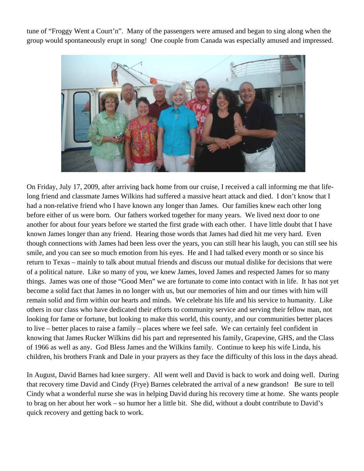tune of "Froggy Went a Court'n". Many of the passengers were amused and began to sing along when the group would spontaneously erupt in song! One couple from Canada was especially amused and impressed.



On Friday, July 17, 2009, after arriving back home from our cruise, I received a call informing me that lifelong friend and classmate James Wilkins had suffered a massive heart attack and died. I don't know that I had a non-relative friend who I have known any longer than James. Our families knew each other long before either of us were born. Our fathers worked together for many years. We lived next door to one another for about four years before we started the first grade with each other. I have little doubt that I have known James longer than any friend. Hearing those words that James had died hit me very hard. Even though connections with James had been less over the years, you can still hear his laugh, you can still see his smile, and you can see so much emotion from his eyes. He and I had talked every month or so since his return to Texas – mainly to talk about mutual friends and discuss our mutual dislike for decisions that were of a political nature. Like so many of you, we knew James, loved James and respected James for so many things. James was one of those "Good Men" we are fortunate to come into contact with in life. It has not yet become a solid fact that James in no longer with us, but our memories of him and our times with him will remain solid and firm within our hearts and minds. We celebrate his life and his service to humanity. Like others in our class who have dedicated their efforts to community service and serving their fellow man, not looking for fame or fortune, but looking to make this world, this county, and our communities better places to live – better places to raise a family – places where we feel safe. We can certainly feel confident in knowing that James Rucker Wilkins did his part and represented his family, Grapevine, GHS, and the Class of 1966 as well as any. God Bless James and the Wilkins family. Continue to keep his wife Linda, his children, his brothers Frank and Dale in your prayers as they face the difficulty of this loss in the days ahead.

In August, David Barnes had knee surgery. All went well and David is back to work and doing well. During that recovery time David and Cindy (Frye) Barnes celebrated the arrival of a new grandson! Be sure to tell Cindy what a wonderful nurse she was in helping David during his recovery time at home. She wants people to brag on her about her work – so humor her a little bit. She did, without a doubt contribute to David's quick recovery and getting back to work.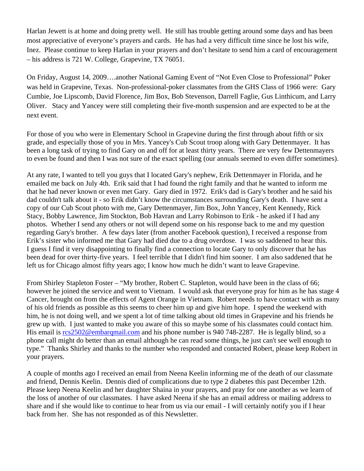Harlan Jewett is at home and doing pretty well. He still has trouble getting around some days and has been most appreciative of everyone's prayers and cards. He has had a very difficult time since he lost his wife, Inez. Please continue to keep Harlan in your prayers and don't hesitate to send him a card of encouragement – his address is 721 W. College, Grapevine, TX 76051.

On Friday, August 14, 2009….another National Gaming Event of "Not Even Close to Professional" Poker was held in Grapevine, Texas. Non-professional-poker classmates from the GHS Class of 1966 were: Gary Cumbie, Joe Lipscomb, David Florence, Jim Box, Bob Stevenson, Darrell Faglie, Gus Linthicum, and Larry Oliver. Stacy and Yancey were still completing their five-month suspension and are expected to be at the next event.

For those of you who were in Elementary School in Grapevine during the first through about fifth or six grade, and especially those of you in Mrs. Yancey's Cub Scout troop along with Gary Dettenmayer. It has been a long task of trying to find Gary on and off for at least thirty years. There are very few Dettenmayers to even be found and then I was not sure of the exact spelling (our annuals seemed to even differ sometimes).

At any rate, I wanted to tell you guys that I located Gary's nephew, Erik Dettenmayer in Florida, and he emailed me back on July 4th. Erik said that I had found the right family and that he wanted to inform me that he had never known or even met Gary. Gary died in 1972. Erik's dad is Gary's brother and he said his dad couldn't talk about it - so Erik didn't know the circumstances surrounding Gary's death. I have sent a copy of our Cub Scout photo with me, Gary Dettenmayer, Jim Box, John Yancey, Kent Kennedy, Rick Stacy, Bobby Lawrence, Jim Stockton, Bob Havran and Larry Robinson to Erik - he asked if I had any photos. Whether I send any others or not will depend some on his response back to me and my question regarding Gary's brother. A few days later (from another Facebook question), I received a response from Erik's sister who informed me that Gary had died due to a drug overdose. I was so saddened to hear this. I guess I find it very disappointing to finally find a connection to locate Gary to only discover that he has been dead for over thirty-five years. I feel terrible that I didn't find him sooner. I am also saddened that he left us for Chicago almost fifty years ago; I know how much he didn't want to leave Grapevine.

From Shirley Stapleton Foster – "My brother, Robert C. Stapleton, would have been in the class of 66; however he joined the service and went to Vietnam. I would ask that everyone pray for him as he has stage 4 Cancer, brought on from the effects of Agent Orange in Vietnam. Robert needs to have contact with as many of his old friends as possible as this seems to cheer him up and give him hope. I spend the weekend with him, he is not doing well, and we spent a lot of time talking about old times in Grapevine and his friends he grew up with. I just wanted to make you aware of this so maybe some of his classmates could contact him. His email is rcs2502@embarqmail.com and his phone number is 940 748-2287. He is legally blind, so a phone call might do better than an email although he can read some things, he just can't see well enough to type." Thanks Shirley and thanks to the number who responded and contacted Robert, please keep Robert in your prayers.

A couple of months ago I received an email from Neena Keelin informing me of the death of our classmate and friend, Dennis Keelin. Dennis died of complications due to type 2 diabetes this past December 12th. Please keep Neena Keelin and her daughter Shaina in your prayers, and pray for one another as we learn of the loss of another of our classmates. I have asked Neena if she has an email address or mailing address to share and if she would like to continue to hear from us via our email - I will certainly notify you if I hear back from her. She has not responded as of this Newsletter.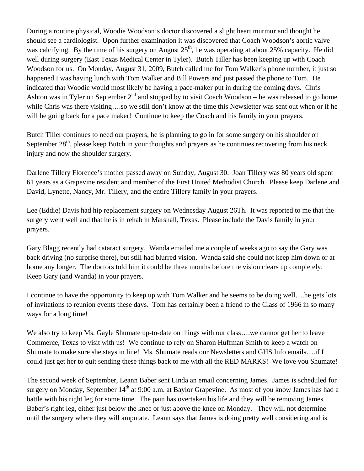During a routine physical, Woodie Woodson's doctor discovered a slight heart murmur and thought he should see a cardiologist. Upon further examination it was discovered that Coach Woodson's aortic valve was calcifying. By the time of his surgery on August  $25<sup>th</sup>$ , he was operating at about 25% capacity. He did well during surgery (East Texas Medical Center in Tyler). Butch Tiller has been keeping up with Coach Woodson for us. On Monday, August 31, 2009, Butch called me for Tom Walker's phone number, it just so happened I was having lunch with Tom Walker and Bill Powers and just passed the phone to Tom. He indicated that Woodie would most likely be having a pace-maker put in during the coming days. Chris Ashton was in Tyler on September  $2<sup>nd</sup>$  and stopped by to visit Coach Woodson – he was released to go home while Chris was there visiting….so we still don't know at the time this Newsletter was sent out when or if he will be going back for a pace maker! Continue to keep the Coach and his family in your prayers.

Butch Tiller continues to need our prayers, he is planning to go in for some surgery on his shoulder on September 28<sup>th</sup>, please keep Butch in your thoughts and prayers as he continues recovering from his neck injury and now the shoulder surgery.

Darlene Tillery Florence's mother passed away on Sunday, August 30. Joan Tillery was 80 years old spent 61 years as a Grapevine resident and member of the First United Methodist Church. Please keep Darlene and David, Lynette, Nancy, Mr. Tillery, and the entire Tillery family in your prayers.

Lee (Eddie) Davis had hip replacement surgery on Wednesday August 26Th. It was reported to me that the surgery went well and that he is in rehab in Marshall, Texas. Please include the Davis family in your prayers.

Gary Blagg recently had cataract surgery. Wanda emailed me a couple of weeks ago to say the Gary was back driving (no surprise there), but still had blurred vision. Wanda said she could not keep him down or at home any longer. The doctors told him it could be three months before the vision clears up completely. Keep Gary (and Wanda) in your prayers.

I continue to have the opportunity to keep up with Tom Walker and he seems to be doing well….he gets lots of invitations to reunion events these days. Tom has certainly been a friend to the Class of 1966 in so many ways for a long time!

We also try to keep Ms. Gayle Shumate up-to-date on things with our class….we cannot get her to leave Commerce, Texas to visit with us! We continue to rely on Sharon Huffman Smith to keep a watch on Shumate to make sure she stays in line! Ms. Shumate reads our Newsletters and GHS Info emails….if I could just get her to quit sending these things back to me with all the RED MARKS! We love you Shumate!

The second week of September, Leann Baber sent Linda an email concerning James. James is scheduled for surgery on Monday, September  $14<sup>th</sup>$  at 9:00 a.m. at Baylor Grapevine. As most of you know James has had a battle with his right leg for some time. The pain has overtaken his life and they will be removing James Baber's right leg, either just below the knee or just above the knee on Monday. They will not determine until the surgery where they will amputate. Leann says that James is doing pretty well considering and is